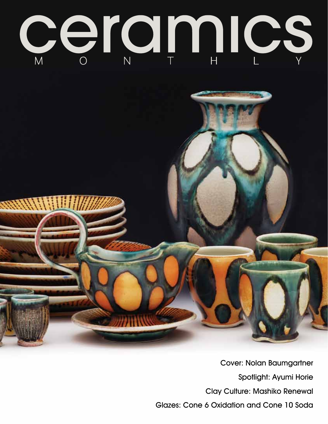



Cover: Nolan Baumgartner Spotlight: Ayumi Horie Clay Culture: Mashiko Renewal Glazes: Cone 6 Oxidation and Cone 10 Soda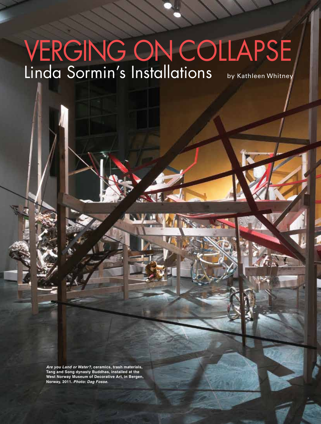## Verging on Collapse Linda Sormin's Installations by Kathleen Whitney

*Are you Land or Water?,* **ceramics, trash materials, Tang and Song dynasty Buddhas, installed at the West Norway Museum of Decorative Art, in Bergen, Norway, 2011.** *Photo: Dag Fosse.*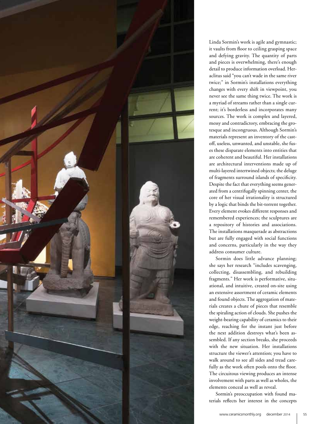

Linda Sormin's work is agile and gymnastic; it vaults from floor to ceiling grasping space and defying gravity. The quantity of parts and pieces is overwhelming, there's enough detail to produce information overload. Heraclitus said "you can't wade in the same river twice;" in Sormin's installations everything changes with every shift in viewpoint, you never see the same thing twice. The work is a myriad of streams rather than a single current; it's borderless and incorporates many sources. The work is complex and layered, messy and contradictory, embracing the grotesque and incongruous. Although Sormin's materials represent an inventory of the castoff, useless, unwanted, and unstable, she fuses these disparate elements into entities that are coherent and beautiful. Her installations are architectural interventions made up of multi-layered intertwined objects; the deluge of fragments surround islands of specificity. Despite the fact that everything seems generated from a centrifugally spinning center, the core of her visual irrationality is structured by a logic that binds the bit-torrent together. Every element evokes different responses and remembered experiences; the sculptures are a repository of histories and associations. The installations masquerade as abstractions but are fully engaged with social functions and concerns, particularly in the way they address consumer culture.

Sormin does little advance planning; she says her research "includes scavenging, collecting, disassembling, and rebuilding fragments." Her work is performative, situational, and intuitive, created on-site using an extensive assortment of ceramic elements and found objects. The aggregation of materials creates a chute of pieces that resemble the spiraling action of clouds. She pushes the weight-bearing capability of ceramics to their edge, reaching for the instant just before the next addition destroys what's been assembled. If any section breaks, she proceeds with the new situation. Her installations structure the viewer's attention; you have to walk around to see all sides and tread carefully as the work often pools onto the floor. The circuitous viewing produces an intense involvement with parts as well as wholes, the elements conceal as well as reveal.

Sormin's preoccupation with found materials reflects her interest in the concepts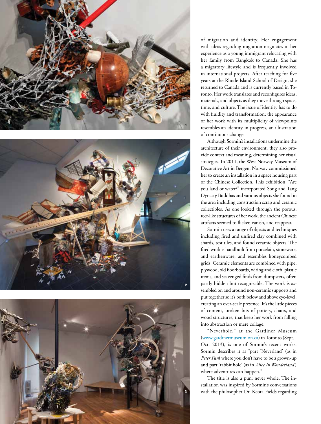





of migration and identity. Her engagement with ideas regarding migration originates in her experience as a young immigrant relocating with her family from Bangkok to Canada. She has a migratory lifestyle and is frequently involved in international projects. After teaching for five years at the Rhode Island School of Design, she returned to Canada and is currently based in To ronto. Her work translates and reconfigures ideas, materials, and objects as they move through space, time, and culture. The issue of identity has to do with fluidity and transformation; the appearance of her work with its multiplicity of viewpoints resembles an identity-in-progress, an illustration of continuous change.

Although Sormin's installations undermine the architecture of their environment, they also pro vide context and meaning, determining her visual strategies. In 2011, the West Norway Museum of Decorative Art in Bergen, Norway commissioned her to create an installation in a space housing part of the Chinese Collection. This exhibition, "Are you land or water?" incorporated Song and Tang Dynasty Buddhas and various objects she found in the area including construction scrap and ceramic collectibles. As one looked through the porous, reef-like structures of her work, the ancient Chinese artifacts seemed to flicker, vanish, and reappear.

Sormin uses a range of objects and techniques including fired and unfired clay combined with shards, test tiles, and found ceramic objects. The fired work is handbuilt from porcelain, stoneware, and earthenware, and resembles honeycombed grids. Ceramic elements are combined with pipe, plywood, old floorboards, wiring and cloth, plastic items, and scavenged finds from dumpsters, often partly hidden but recognizable. The work is as sembled on and around non-ceramic supports and put together so it's both below and above eye-level, creating an over-scale presence. It's the little pieces of content, broken bits of pottery, chairs, and wood structures, that keep her work from falling into abstraction or mere collage.

"Neverhole," at the Gardiner Museum (www.gardinermuseum.on.ca) in Toronto (Sept.– Oct. 2013), is one of Sormin's recent works. Sormin describes it as "part 'Neverland' (as in *Peter Pan*) where you don't have to be a grown-up and part 'rabbit hole' (as in *Alice In Wonderland* ) where adventures can happen."

The title is also a pun: never whole. The in stallation was inspired by Sormin's conversations with the philosopher Dr. Keota Fields regarding